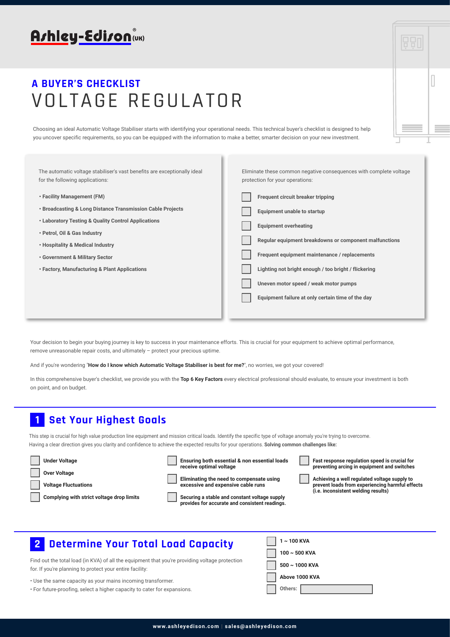

| A BUYER'S CHECKLIST |                   |  |  |  |  |
|---------------------|-------------------|--|--|--|--|
|                     | VOLTAGE REGULATOR |  |  |  |  |

Choosing an ideal Automatic Voltage Stabiliser starts with identifying your operational needs. This technical buyer's checklist is designed to help you uncover specific requirements, so you can be equipped with the information to make a better, smarter decision on your new investment.

The automatic voltage stabiliser's vast benefits are exceptionally ideal for the following applications: **• Facility Management (FM) • Broadcasting & Long Distance Transmission Cable Projects • Laboratory Testing & Quality Control Applications • Petrol, Oil & Gas Industry • Hospitality & Medical Industry • Government & Military Sector • Factory, Manufacturing & Plant Applications** Eliminate these common negative consequences with complete voltage protection for your operations: **Frequent circuit breaker tripping Equipment unable to startup Equipment overheating Regular equipment breakdowns or component malfunctions Frequent equipment maintenance / replacements Lighting not bright enough / too bright / flickering Uneven motor speed / weak motor pumps Equipment failure at only certain time of the day**

Your decision to begin your buying journey is key to success in your maintenance efforts. This is crucial for your equipment to achieve optimal performance, remove unreasonable repair costs, and ultimately – protect your precious uptime.

And if you're wondering "**How do I know which Automatic Voltage Stabiliser is best for me?**", no worries, we got your covered!

In this comprehensive buyer's checklist, we provide you with the **Top 6 Key Factors** every electrical professional should evaluate, to ensure your investment is both on point, and on budget.

### **Set Your Highest Goals**

**1**

This step is crucial for high value production line equipment and mission critical loads. Identify the specific type of voltage anomaly you're trying to overcome. Having a clear direction gives you clarity and confidence to achieve the expected results for your operations. **Solving common challenges like:**

| <b>Under Voltage</b>                                                     | Ensuring both essential & non essential loads<br>receive optimal voltage            | Fast response regulation speed is crucial for<br>preventing arcing in equipment and switches   |
|--------------------------------------------------------------------------|-------------------------------------------------------------------------------------|------------------------------------------------------------------------------------------------|
| <b>Over Voltage</b>                                                      | Eliminating the need to compensate using                                            | Achieving a well regulated voltage supply to                                                   |
| <b>Voltage Fluctuations</b><br>Complying with strict voltage drop limits | excessive and expensive cable runs<br>Securing a stable and constant voltage supply | prevent loads from experiencing harmful effects<br>( <i>i.e.</i> inconsistent welding results) |
|                                                                          | provides for accurate and consistent readings.                                      |                                                                                                |

# **Determine Your Total Load Capacity 2 1 ~ 100 KVA**

Find out the total load (in KVA) of all the equipment that you're providing for. If you're planning to protect your entire facility:

• Use the same capacity as your mains incoming transformer.

• For future-proofing, select a higher capacity to cater for expansions.

| Capacity              | $1 \sim 100$ KVA    |
|-----------------------|---------------------|
| ng voltage protection | $100\sim 500$ KVA   |
|                       | $500 \sim 1000$ KVA |
|                       | Above 1000 KVA      |
|                       | Others:             |